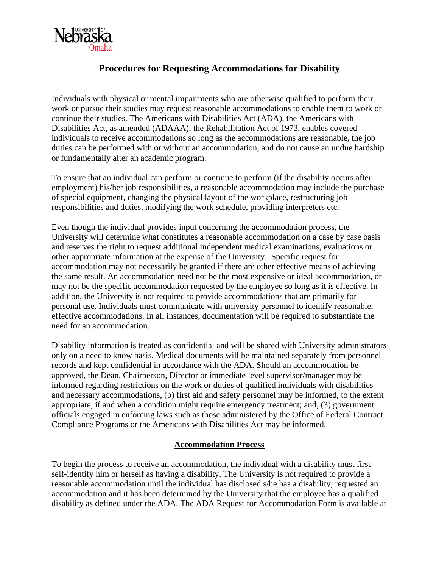

# **Procedures for Requesting Accommodations for Disability**

Individuals with physical or mental impairments who are otherwise qualified to perform their work or pursue their studies may request reasonable accommodations to enable them to work or continue their studies. The Americans with Disabilities Act (ADA), the Americans with Disabilities Act, as amended (ADAAA), the Rehabilitation Act of 1973, enables covered individuals to receive accommodations so long as the accommodations are reasonable, the job duties can be performed with or without an accommodation, and do not cause an undue hardship or fundamentally alter an academic program.

To ensure that an individual can perform or continue to perform (if the disability occurs after employment) his/her job responsibilities, a reasonable accommodation may include the purchase of special equipment, changing the physical layout of the workplace, restructuring job responsibilities and duties, modifying the work schedule, providing interpreters etc.

Even though the individual provides input concerning the accommodation process, the University will determine what constitutes a reasonable accommodation on a case by case basis and reserves the right to request additional independent medical examinations, evaluations or other appropriate information at the expense of the University. Specific request for accommodation may not necessarily be granted if there are other effective means of achieving the same result. An accommodation need not be the most expensive or ideal accommodation, or may not be the specific accommodation requested by the employee so long as it is effective. In addition, the University is not required to provide accommodations that are primarily for personal use. Individuals must communicate with university personnel to identify reasonable, effective accommodations. In all instances, documentation will be required to substantiate the need for an accommodation.

Disability information is treated as confidential and will be shared with University administrators only on a need to know basis. Medical documents will be maintained separately from personnel records and kept confidential in accordance with the ADA. Should an accommodation be approved, the Dean, Chairperson, Director or immediate level supervisor/manager may be informed regarding restrictions on the work or duties of qualified individuals with disabilities and necessary accommodations, (b) first aid and safety personnel may be informed, to the extent appropriate, if and when a condition might require emergency treatment; and, (3) government officials engaged in enforcing laws such as those administered by the Office of Federal Contract Compliance Programs or the Americans with Disabilities Act may be informed.

## **Accommodation Process**

To begin the process to receive an accommodation, the individual with a disability must first self-identify him or herself as having a disability. The University is not required to provide a reasonable accommodation until the individual has disclosed s/he has a disability, requested an accommodation and it has been determined by the University that the employee has a qualified disability as defined under the ADA. The ADA Request for Accommodation Form is available at